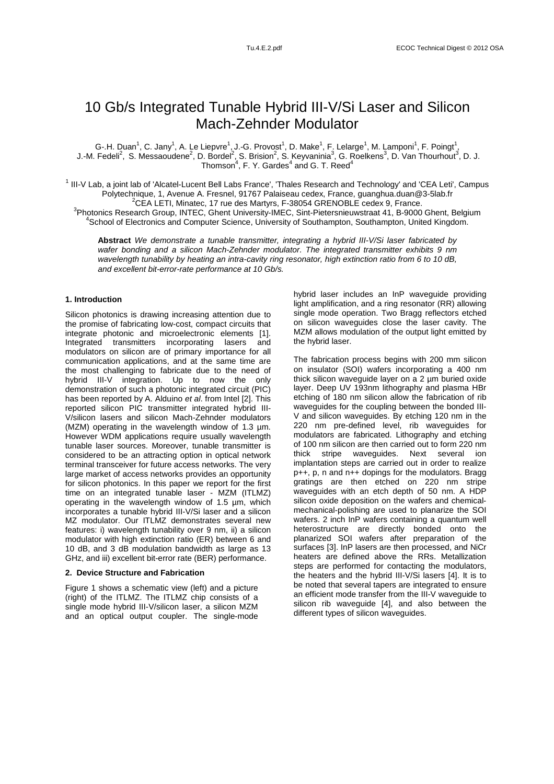# 10 Gb/s Integrated Tunable Hybrid III-V/Si Laser and Silicon Mach-Zehnder Modulator

G-.H. Duan<sup>1</sup>, C. Jany<sup>1</sup>, A. Le Liepvre<sup>1</sup>, J.-G. Provost<sup>1</sup>, D. Make<sup>1</sup>, F. Lelarge<sup>1</sup>, M. Lamponi<sup>1</sup>, F. Poingt<sup>1</sup>, J.-M. Fedeli<sup>2</sup>, S. Messaoudene<sup>2</sup>, D. Bordel<sup>2</sup>, S. Brision<sup>2</sup>, S. Keyvaninia<sup>3</sup>, G. Roelkens<sup>3</sup>, D. Van Thourhout<sup>3</sup>, D. J.<br>Thomson<sup>4</sup>, F. Y. Gardes<sup>4</sup> and G. T. Reed<sup>4</sup>

<sup>1</sup> III-V Lab, a joint lab of 'Alcatel-Lucent Bell Labs France', 'Thales Research and Technology' and 'CEA Leti', Campus Polytechnique, 1, Avenue A. Fresnel, 91767 Palaiseau cedex, France, guanghua.duan@3-5lab.fr  $^{2}$ CEA LETI, Minatec, 17 rue des Martyrs, F-38054 GRENOBLE cedex 9, France. <sup>3</sup>Photonics Research Group, INTEC, Ghent University-IMEC, Sint-Pietersnieuwstraat 41, B-9000 Ghent, Belgium 4 School of Electronics and Computer Science, University of Southampton, Southampton, United Kingdom.

**Abstract** We demonstrate a tunable transmitter, integrating a hybrid III-V/Si laser fabricated by wafer bonding and a silicon Mach-Zehnder modulator. The integrated transmitter exhibits 9 nm wavelength tunability by heating an intra-cavity ring resonator, high extinction ratio from 6 to 10 dB, and excellent bit-error-rate performance at 10 Gb/s.

# **1. Introduction**

Silicon photonics is drawing increasing attention due to the promise of fabricating low-cost, compact circuits that integrate photonic and microelectronic elements [1]. Integrated transmitters incorporating lasers and modulators on silicon are of primary importance for all communication applications, and at the same time are the most challenging to fabricate due to the need of hybrid III-V integration. Up to now the only demonstration of such a photonic integrated circuit (PIC) has been reported by A. Alduino et al. from Intel [2]. This reported silicon PIC transmitter integrated hybrid III-V/silicon lasers and silicon Mach-Zehnder modulators (MZM) operating in the wavelength window of 1.3 µm. However WDM applications require usually wavelength tunable laser sources. Moreover, tunable transmitter is considered to be an attracting option in optical network terminal transceiver for future access networks. The very large market of access networks provides an opportunity for silicon photonics. In this paper we report for the first time on an integrated tunable laser - MZM (ITLMZ) operating in the wavelength window of 1.5 µm, which incorporates a tunable hybrid III-V/Si laser and a silicon MZ modulator. Our ITLMZ demonstrates several new features: i) wavelength tunability over 9 nm, ii) a silicon modulator with high extinction ratio (ER) between 6 and 10 dB, and 3 dB modulation bandwidth as large as 13 GHz, and iii) excellent bit-error rate (BER) performance.

### **2. Device Structure and Fabrication**

Figure 1 shows a schematic view (left) and a picture (right) of the ITLMZ. The ITLMZ chip consists of a single mode hybrid III-V/silicon laser, a silicon MZM and an optical output coupler. The single-mode

hybrid laser includes an InP waveguide providing light amplification, and a ring resonator (RR) allowing single mode operation. Two Bragg reflectors etched on silicon waveguides close the laser cavity. The MZM allows modulation of the output light emitted by the hybrid laser.

The fabrication process begins with 200 mm silicon on insulator (SOI) wafers incorporating a 400 nm thick silicon waveguide layer on a 2 µm buried oxide layer. Deep UV 193nm lithography and plasma HBr etching of 180 nm silicon allow the fabrication of rib waveguides for the coupling between the bonded III-V and silicon waveguides. By etching 120 nm in the 220 nm pre-defined level, rib waveguides for modulators are fabricated. Lithography and etching of 100 nm silicon are then carried out to form 220 nm thick stripe waveguides. Next several ion implantation steps are carried out in order to realize p++, p, n and n++ dopings for the modulators. Bragg gratings are then etched on 220 nm stripe waveguides with an etch depth of 50 nm. A HDP silicon oxide deposition on the wafers and chemicalmechanical-polishing are used to planarize the SOI wafers. 2 inch InP wafers containing a quantum well heterostructure are directly bonded onto the planarized SOI wafers after preparation of the surfaces [3]. InP lasers are then processed, and NiCr heaters are defined above the RRs. Metallization steps are performed for contacting the modulators, the heaters and the hybrid III-V/Si lasers [4]. It is to be noted that several tapers are integrated to ensure an efficient mode transfer from the III-V waveguide to silicon rib waveguide [4], and also between the different types of silicon waveguides.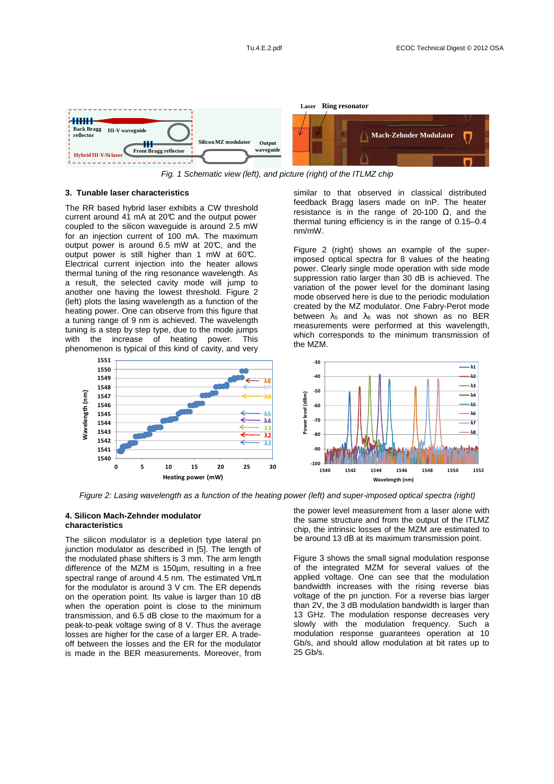

Fig. 1 Schematic view (left), and picture (right) of the ITLMZ chip

#### **3. Tunable laser characteristics**

The RR based hybrid laser exhibits a CW threshold current around  $41$  mA at 20 $\degree$  and the output power coupled to the silicon waveguide is around 2.5 mW for an injection current of 100 mA. The maximum output power is around  $6.5$  mW at  $20^{\circ}$ C, and the output power is still higher than 1 mW at 60°C. Electrical current injection into the heater allows thermal tuning of the ring resonance wavelength. As a result, the selected cavity mode will jump to another one having the lowest threshold. Figure 2 (left) plots the lasing wavelength as a function of the heating power. One can observe from this figure that a tuning range of 9 nm is achieved. The wavelength tuning is a step by step type, due to the mode jumps with the increase of heating power. This phenomenon is typical of this kind of cavity, and very

similar to that observed in classical distributed feedback Bragg lasers made on InP. The heater resistance is in the range of 20-100  $Ω$ , and the thermal tuning efficiency is in the range of 0.15–0.4 nm/mW.

Figure 2 (right) shows an example of the superimposed optical spectra for 8 values of the heating power. Clearly single mode operation with side mode suppression ratio larger than 30 dB is achieved. The variation of the power level for the dominant lasing mode observed here is due to the periodic modulation created by the MZ modulator. One Fabry-Perot mode between  $\lambda_5$  and  $\lambda_6$  was not shown as no BER measurements were performed at this wavelength, which corresponds to the minimum transmission of the MZM.



Figure 2: Lasing wavelength as a function of the heating power (left) and super-imposed optical spectra (right)

#### **4. Silicon Mach-Zehnder modulator characteristics**

**Wavelength (nm)**

**Navelength** 

(nm)

The silicon modulator is a depletion type lateral pn junction modulator as described in [5]. The length of the modulated phase shifters is 3 mm. The arm length difference of the MZM is 150µm, resulting in a free spectral range of around 4.5 nm. The estimated  $V\pi L\pi$ for the modulator is around 3 V cm. The ER depends on the operation point. Its value is larger than 10 dB when the operation point is close to the minimum transmission, and 6.5 dB close to the maximum for a peak-to-peak voltage swing of 8 V. Thus the average losses are higher for the case of a larger ER. A tradeoff between the losses and the ER for the modulator is made in the BER measurements. Moreover, from

the power level measurement from a laser alone with the same structure and from the output of the ITLMZ chip, the intrinsic losses of the MZM are estimated to be around 13 dB at its maximum transmission point.

Figure 3 shows the small signal modulation response of the integrated MZM for several values of the applied voltage. One can see that the modulation bandwidth increases with the rising reverse bias voltage of the pn junction. For a reverse bias larger than 2V, the 3 dB modulation bandwidth is larger than 13 GHz. The modulation response decreases very slowly with the modulation frequency. Such a modulation response guarantees operation at 10 Gb/s, and should allow modulation at bit rates up to 25 Gb/s.